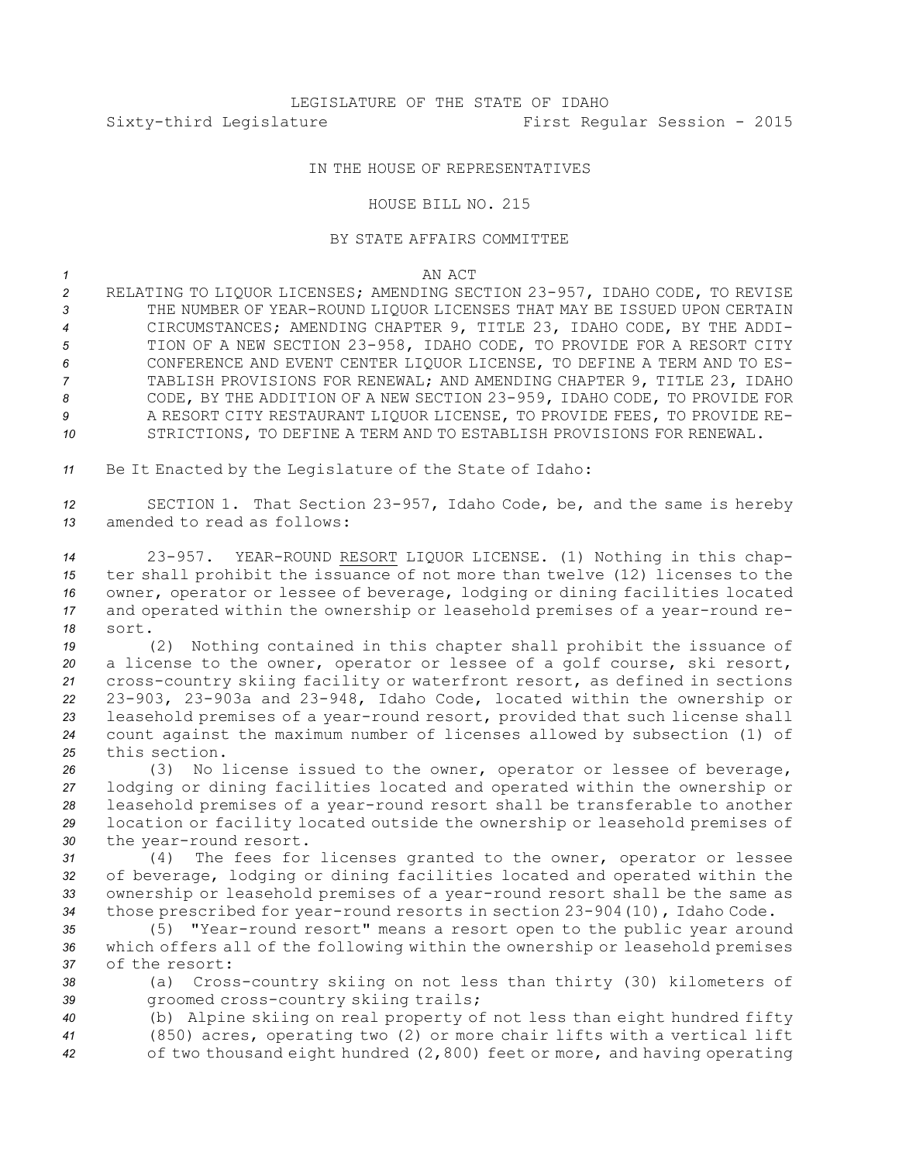## IN THE HOUSE OF REPRESENTATIVES

## HOUSE BILL NO. 215

## BY STATE AFFAIRS COMMITTEE

*1* AN ACT

 RELATING TO LIQUOR LICENSES; AMENDING SECTION 23-957, IDAHO CODE, TO REVISE THE NUMBER OF YEAR-ROUND LIQUOR LICENSES THAT MAY BE ISSUED UPON CERTAIN CIRCUMSTANCES; AMENDING CHAPTER 9, TITLE 23, IDAHO CODE, BY THE ADDI- TION OF A NEW SECTION 23-958, IDAHO CODE, TO PROVIDE FOR A RESORT CITY CONFERENCE AND EVENT CENTER LIQUOR LICENSE, TO DEFINE A TERM AND TO ES- TABLISH PROVISIONS FOR RENEWAL; AND AMENDING CHAPTER 9, TITLE 23, IDAHO CODE, BY THE ADDITION OF A NEW SECTION 23-959, IDAHO CODE, TO PROVIDE FOR A RESORT CITY RESTAURANT LIQUOR LICENSE, TO PROVIDE FEES, TO PROVIDE RE-STRICTIONS, TO DEFINE A TERM AND TO ESTABLISH PROVISIONS FOR RENEWAL.

*<sup>11</sup>* Be It Enacted by the Legislature of the State of Idaho:

*<sup>12</sup>* SECTION 1. That Section 23-957, Idaho Code, be, and the same is hereby *13* amended to read as follows:

 23-957. YEAR-ROUND RESORT LIQUOR LICENSE. (1) Nothing in this chap- ter shall prohibit the issuance of not more than twelve (12) licenses to the owner, operator or lessee of beverage, lodging or dining facilities located and operated within the ownership or leasehold premises of <sup>a</sup> year-round re-*18* sort.

 (2) Nothing contained in this chapter shall prohibit the issuance of <sup>a</sup> license to the owner, operator or lessee of <sup>a</sup> golf course, ski resort, cross-country skiing facility or waterfront resort, as defined in sections 23-903, 23-903a and 23-948, Idaho Code, located within the ownership or leasehold premises of <sup>a</sup> year-round resort, provided that such license shall count against the maximum number of licenses allowed by subsection (1) of this section.

 (3) No license issued to the owner, operator or lessee of beverage, lodging or dining facilities located and operated within the ownership or leasehold premises of <sup>a</sup> year-round resort shall be transferable to another location or facility located outside the ownership or leasehold premises of the year-round resort.

 (4) The fees for licenses granted to the owner, operator or lessee of beverage, lodging or dining facilities located and operated within the ownership or leasehold premises of <sup>a</sup> year-round resort shall be the same as those prescribed for year-round resorts in section 23-904(10), Idaho Code.

*<sup>35</sup>* (5) "Year-round resort" means <sup>a</sup> resort open to the public year around *<sup>36</sup>* which offers all of the following within the ownership or leasehold premises *37* of the resort:

*<sup>38</sup>* (a) Cross-country skiing on not less than thirty (30) kilometers of *<sup>39</sup>* groomed cross-country skiing trails;

*<sup>40</sup>* (b) Alpine skiing on real property of not less than eight hundred fifty *<sup>41</sup>* (850) acres, operating two (2) or more chair lifts with <sup>a</sup> vertical lift *<sup>42</sup>* of two thousand eight hundred (2,800) feet or more, and having operating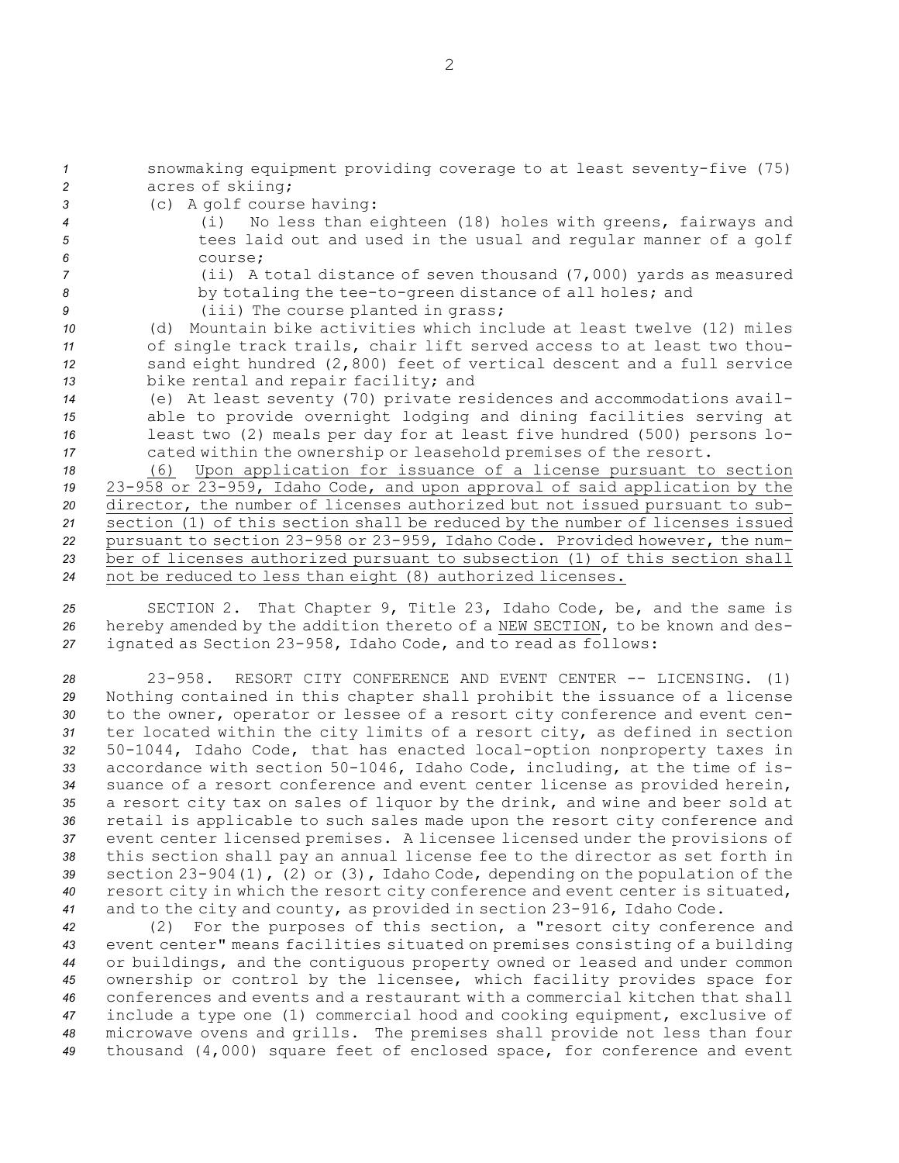snowmaking equipment providing coverage to at least seventy-five (75) acres of skiing; (c) <sup>A</sup> golf course having: (i) No less than eighteen (18) holes with greens, fairways and tees laid out and used in the usual and regular manner of <sup>a</sup> golf *6* course; (ii) <sup>A</sup> total distance of seven thousand (7,000) yards as measured by totaling the tee-to-green distance of all holes; and (iii) The course planted in grass; (d) Mountain bike activities which include at least twelve (12) miles of single track trails, chair lift served access to at least two thou- sand eight hundred (2,800) feet of vertical descent and <sup>a</sup> full service bike rental and repair facility; and (e) At least seventy (70) private residences and accommodations avail- able to provide overnight lodging and dining facilities serving at least two (2) meals per day for at least five hundred (500) persons lo- cated within the ownership or leasehold premises of the resort. (6) Upon application for issuance of <sup>a</sup> license pursuant to section 23-958 or 23-959, Idaho Code, and upon approval of said application by the director, the number of licenses authorized but not issued pursuant to sub- section (1) of this section shall be reduced by the number of licenses issued pursuant to section 23-958 or 23-959, Idaho Code. Provided however, the num- ber of licenses authorized pursuant to subsection (1) of this section shall not be reduced to less than eight (8) authorized licenses.

*<sup>25</sup>* SECTION 2. That Chapter 9, Title 23, Idaho Code, be, and the same is *<sup>26</sup>* hereby amended by the addition thereto of <sup>a</sup> NEW SECTION, to be known and des-*<sup>27</sup>* ignated as Section 23-958, Idaho Code, and to read as follows:

 23-958. RESORT CITY CONFERENCE AND EVENT CENTER -- LICENSING. (1) Nothing contained in this chapter shall prohibit the issuance of <sup>a</sup> license to the owner, operator or lessee of <sup>a</sup> resort city conference and event cen- ter located within the city limits of <sup>a</sup> resort city, as defined in section 50-1044, Idaho Code, that has enacted local-option nonproperty taxes in accordance with section 50-1046, Idaho Code, including, at the time of is- suance of <sup>a</sup> resort conference and event center license as provided herein, <sup>a</sup> resort city tax on sales of liquor by the drink, and wine and beer sold at retail is applicable to such sales made upon the resort city conference and event center licensed premises. <sup>A</sup> licensee licensed under the provisions of this section shall pay an annual license fee to the director as set forth in section 23-904(1), (2) or (3), Idaho Code, depending on the population of the resort city in which the resort city conference and event center is situated, and to the city and county, as provided in section 23-916, Idaho Code.

 (2) For the purposes of this section, <sup>a</sup> "resort city conference and event center" means facilities situated on premises consisting of <sup>a</sup> building or buildings, and the contiguous property owned or leased and under common ownership or control by the licensee, which facility provides space for conferences and events and <sup>a</sup> restaurant with <sup>a</sup> commercial kitchen that shall include <sup>a</sup> type one (1) commercial hood and cooking equipment, exclusive of microwave ovens and grills. The premises shall provide not less than four thousand (4,000) square feet of enclosed space, for conference and event